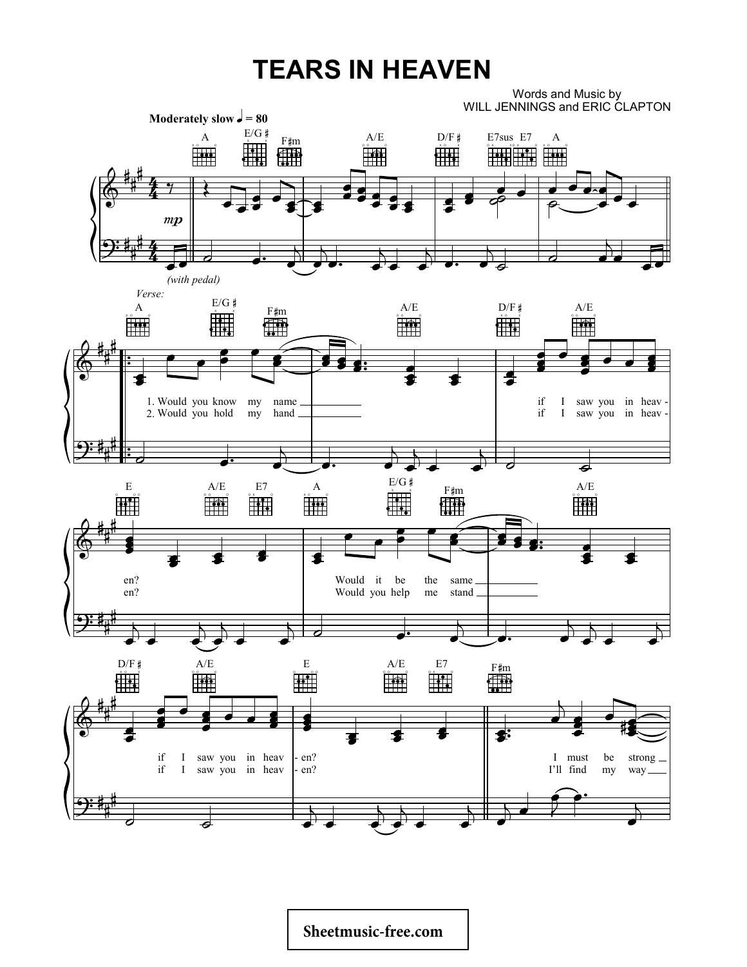## **TEARS IN HEAVEN**

Words and Music by WILL JENNINGS and ERIC CLAPTON

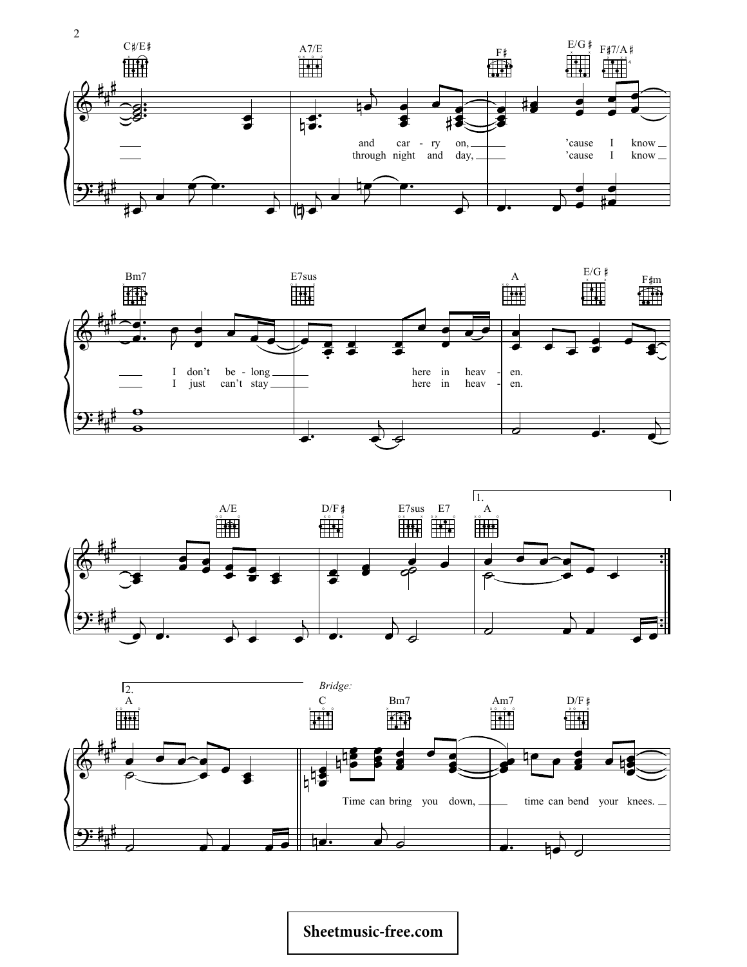







## Sheetmusic-free.com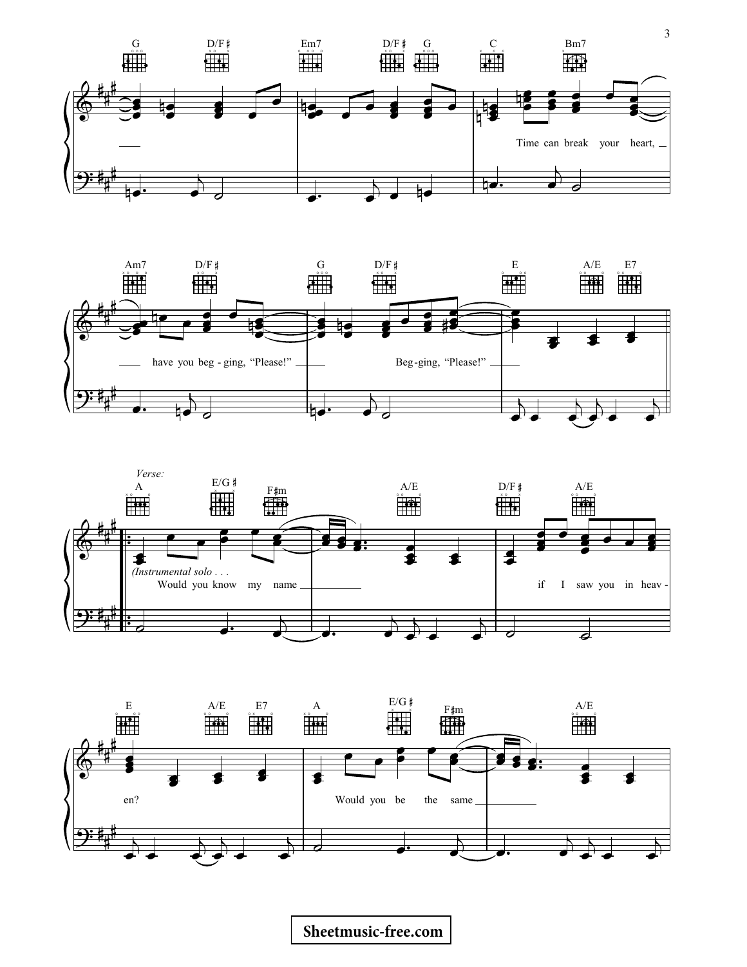







## **[Sheetmusic-free.com](http://sheetmusic-free.com/)**